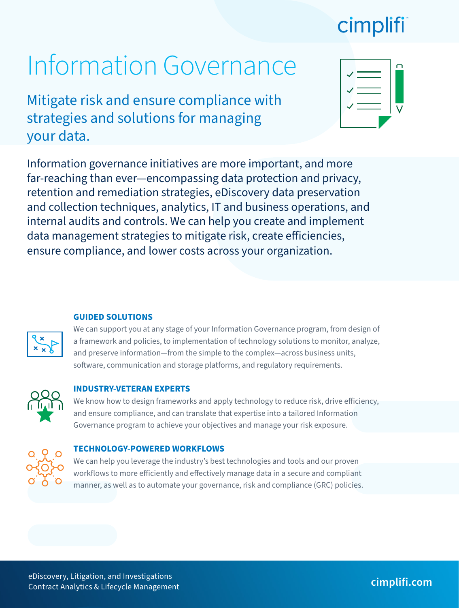## cimplifi

# Information Governance

Mitigate risk and ensure compliance with strategies and solutions for managing your data.

| n |
|---|
|   |
|   |
|   |
|   |

Information governance initiatives are more important, and more far-reaching than ever—encompassing data protection and privacy, retention and remediation strategies, eDiscovery data preservation and collection techniques, analytics, IT and business operations, and internal audits and controls. We can help you create and implement data management strategies to mitigate risk, create efficiencies, ensure compliance, and lower costs across your organization.

#### **GUIDED SOLUTIONS**

We can support you at any stage of your Information Governance program, from design of a framework and policies, to implementation of technology solutions to monitor, analyze, and preserve information—from the simple to the complex—across business units, software, communication and storage platforms, and regulatory requirements.



#### **INDUSTRY-VETERAN EXPERTS**

We know how to design frameworks and apply technology to reduce risk, drive efficiency, and ensure compliance, and can translate that expertise into a tailored Information Governance program to achieve your objectives and manage your risk exposure.



#### **TECHNOLOGY-POWERED WORKFLOWS**

We can help you leverage the industry's best technologies and tools and our proven workflows to more efficiently and effectively manage data in a secure and compliant manner, as well as to automate your governance, risk and compliance (GRC) policies.